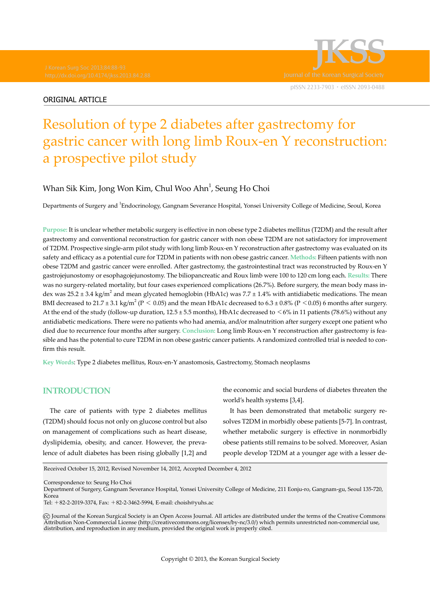



# Resolution of type 2 diabetes after gastrectomy for gastric cancer with long limb Roux-en Y reconstruction: a prospective pilot study

## Whan Sik Kim, Jong Won Kim, Chul Woo Ahn<sup>1</sup>, Seung Ho Choi

Departments of Surgery and <sup>1</sup>Endocrinology, Gangnam Severance Hospital, Yonsei University College of Medicine, Seoul, Korea

**Purpose:** It is unclear whether metabolic surgery is effective in non obese type 2 diabetes mellitus (T2DM) and the result after gastrectomy and conventional reconstruction for gastric cancer with non obese T2DM are not satisfactory for improvement of T2DM. Prospective single-arm pilot study with long limb Roux-en Y reconstruction after gastrectomy was evaluated on its safety and efficacy as a potential cure for T2DM in patients with non obese gastric cancer. **Methods:** Fifteen patients with non obese T2DM and gastric cancer were enrolled. After gastrectomy, the gastrointestinal tract was reconstructed by Roux-en Y gastrojejunostomy or esophagojejunostomy. The biliopancreatic and Roux limb were 100 to 120 cm long each. **Results:** There was no surgery-related mortality, but four cases experienced complications (26.7%). Before surgery, the mean body mass index was 25.2 ± 3.4 kg/m<sup>2</sup> and mean glycated hemoglobin (HbA1c) was 7.7 ± 1.4% with antidiabetic medications. The mean BMI decreased to 21.7 ± 3.1 kg/m<sup>2</sup> (P  $\leq 0.05$ ) and the mean HbA1c decreased to 6.3 ± 0.8% (P  $\leq$ 0.05) 6 months after surgery. At the end of the study (follow-up duration, 12.5 ± 5.5 months), HbA1c decreased to <6% in 11 patients (78.6%) without any antidiabetic medications. There were no patients who had anemia, and/or malnutrition after surgery except one patient who died due to recurrence four months after surgery. **Conclusion:** Long limb Roux-en Y reconstruction after gastrectomy is feasible and has the potential to cure T2DM in non obese gastric cancer patients. A randomized controlled trial is needed to confirm this result.

**Key Words**: Type 2 diabetes mellitus, Roux-en-Y anastomosis, Gastrectomy, Stomach neoplasms

## **INTRODUCTION**

The care of patients with type 2 diabetes mellitus (T2DM) should focus not only on glucose control but also on management of complications such as heart disease, dyslipidemia, obesity, and cancer. However, the prevalence of adult diabetes has been rising globally [1,2] and

the economic and social burdens of diabetes threaten the world's health systems [3,4].

It has been demonstrated that metabolic surgery resolves T2DM in morbidly obese patients [5-7]. In contrast, whether metabolic surgery is effective in nonmorbidly obese patients still remains to be solved. Moreover, Asian people develop T2DM at a younger age with a lesser de-

Received October 15, 2012, Revised November 14, 2012, Accepted December 4, 2012

Correspondence to: Seung Ho Choi

Department of Surgery, Gangnam Severance Hospital, Yonsei University College of Medicine, 211 Eonju-ro, Gangnam-gu, Seoul 135-720, Korea

 $\rm{c}\rm{c}$  Journal of the Korean Surgical Society is an Open Access Journal. All articles are distributed under the terms of the Creative Commons Attribution Non-Commercial License (http://creativecommons.org/licenses/by-nc/3.0/) which permits unrestricted non-commercial use, distribution, and reproduction in any medium, provided the original work is properly cited.

Tel: +82-2-2019-3374, Fax: +82-2-3462-5994, E-mail: choish@yuhs.ac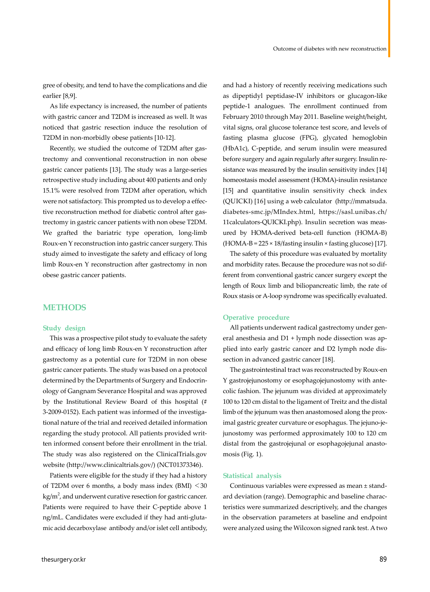gree of obesity, and tend to have the complications and die earlier [8,9].

As life expectancy is increased, the number of patients with gastric cancer and T2DM is increased as well. It was noticed that gastric resection induce the resolution of T2DM in non-morbidly obese patients [10-12].

Recently, we studied the outcome of T2DM after gastrectomy and conventional reconstruction in non obese gastric cancer patients [13]. The study was a large-series retrospective study including about 400 patients and only 15.1% were resolved from T2DM after operation, which were not satisfactory. This prompted us to develop a effective reconstruction method for diabetic control after gastrectomy in gastric cancer patients with non obese T2DM. We grafted the bariatric type operation, long-limb Roux-en Y reconstruction into gastric cancer surgery. This study aimed to investigate the safety and efficacy of long limb Roux-en Y reconstruction after gastrectomy in non obese gastric cancer patients.

### **METHODS**

#### **Study design**

This was a prospective pilot study to evaluate the safety and efficacy of long limb Roux-en Y reconstruction after gastrectomy as a potential cure for T2DM in non obese gastric cancer patients. The study was based on a protocol determined by the Departments of Surgery and Endocrinology of Gangnam Severance Hospital and was approved by the Institutional Review Board of this hospital (# 3-2009-0152). Each patient was informed of the investigational nature of the trial and received detailed information regarding the study protocol. All patients provided written informed consent before their enrollment in the trial. The study was also registered on the ClinicalTrials.gov website (http://www.clinicaltrials.gov/) (NCT01373346).

Patients were eligible for the study if they had a history of T2DM over 6 months, a body mass index  $(BMI) < 30$ kg/m $^2$ , and underwent curative resection for gastric cancer. Patients were required to have their C-peptide above 1 ng/mL. Candidates were excluded if they had anti-glutamic acid decarboxylase antibody and/or islet cell antibody,

and had a history of recently receiving medications such as dipeptidyl peptidase-IV inhibitors or glucagon-like peptide-1 analogues. The enrollment continued from February 2010 through May 2011. Baseline weight/height, vital signs, oral glucose tolerance test score, and levels of fasting plasma glucose (FPG), glycated hemoglobin (HbA1c), C-peptide, and serum insulin were measured before surgery and again regularly after surgery. Insulin resistance was measured by the insulin sensitivity index [14] homeostasis model assessment (HOMA)-insulin resistance [15] and quantitative insulin sensitivity check index (QUICKI) [16] using a web calculator (http://mmatsuda. diabetes-smc.jp/MIndex.html, https://sasl.unibas.ch/ 11calculators-QUICKI.php). Insulin secretion was measured by HOMA-derived beta-cell function (HOMA-B)  $(HOMA-B = 225 \times 18$ /fasting insulin × fasting glucose) [17].

The safety of this procedure was evaluated by mortality and morbidity rates. Because the procedure was not so different from conventional gastric cancer surgery except the length of Roux limb and biliopancreatic limb, the rate of Roux stasis or A-loop syndrome was specifically evaluated.

#### **Operative procedure**

All patients underwent radical gastrectomy under general anesthesia and D1 + lymph node dissection was applied into early gastric cancer and D2 lymph node dissection in advanced gastric cancer [18].

The gastrointestinal tract was reconstructed by Roux-en Y gastrojejunostomy or esophagojejunostomy with antecolic fashion. The jejunum was divided at approximately 100 to 120 cm distal to the ligament of Treitz and the distal limb of the jejunum was then anastomosed along the proximal gastric greater curvature or esophagus. The jejuno-jejunostomy was performed approximately 100 to 120 cm distal from the gastrojejunal or esophagojejunal anastomosis (Fig. 1).

#### **Statistical analysis**

Continuous variables were expressed as mean ± standard deviation (range). Demographic and baseline characteristics were summarized descriptively, and the changes in the observation parameters at baseline and endpoint were analyzed using the Wilcoxon signed rank test. A two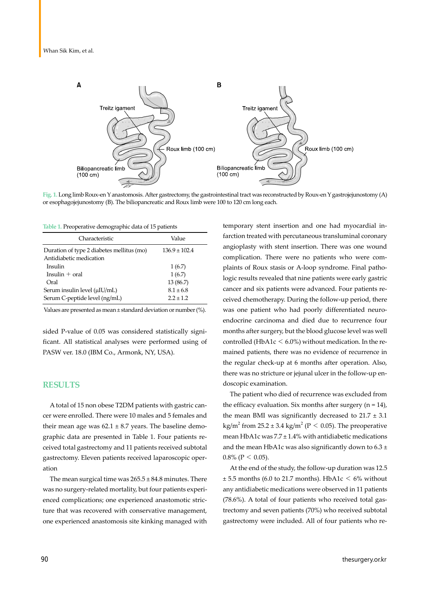

**Fig. 1.** Long limb Roux-en Y anastomosis. After gastrectomy, the gastrointestinal tract was reconstructed by Roux-en Y gastrojejunostomy (A) or esophagojejunostomy (B). The biliopancreatic and Roux limb were 100 to 120 cm long each.

**Table 1.** Preoperative demographic data of 15 patients

| Characteristic                            | Value             |  |
|-------------------------------------------|-------------------|--|
| Duration of type 2 diabetes mellitus (mo) | $136.9 \pm 102.4$ |  |
| Antidiabetic medication<br>Insulin        | 1(6.7)            |  |
| Insulin $+$ oral                          | 1(6.7)            |  |
| Oral                                      | 13 (86.7)         |  |
| Serum insulin level (µIU/mL)              | $8.1 \pm 6.8$     |  |
| Serum C-peptide level (ng/mL)             | $22 + 12$         |  |

Values are presented as mean ± standard deviation or number (%).

sided P-value of 0.05 was considered statistically significant. All statistical analyses were performed using of PASW ver. 18.0 (IBM Co., Armonk, NY, USA).

#### **RESULTS**

A total of 15 non obese T2DM patients with gastric cancer were enrolled. There were 10 males and 5 females and their mean age was  $62.1 \pm 8.7$  years. The baseline demographic data are presented in Table 1. Four patients received total gastrectomy and 11 patients received subtotal gastrectomy. Eleven patients received laparoscopic operation

The mean surgical time was  $265.5 \pm 84.8$  minutes. There was no surgery-related mortality, but four patients experienced complications; one experienced anastomotic stricture that was recovered with conservative management, one experienced anastomosis site kinking managed with

temporary stent insertion and one had myocardial infarction treated with percutaneous transluminal coronary angioplasty with stent insertion. There was one wound complication. There were no patients who were complaints of Roux stasis or A-loop syndrome. Final pathologic results revealed that nine patients were early gastric cancer and six patients were advanced. Four patients received chemotherapy. During the follow-up period, there was one patient who had poorly differentiated neuroendocrine carcinoma and died due to recurrence four months after surgery, but the blood glucose level was well controlled (HbA1c  $\leq 6.0\%$ ) without medication. In the remained patients, there was no evidence of recurrence in the regular check-up at 6 months after operation. Also, there was no stricture or jejunal ulcer in the follow-up endoscopic examination.

The patient who died of recurrence was excluded from the efficacy evaluation. Six months after surgery  $(n = 14)$ , the mean BMI was significantly decreased to  $21.7 \pm 3.1$ kg/m<sup>2</sup> from 25.2 ± 3.4 kg/m<sup>2</sup> (P  $\leq$  0.05). The preoperative mean HbA1c was  $7.7 \pm 1.4\%$  with antidiabetic medications and the mean HbA1c was also significantly down to  $6.3 \pm$  $0.8\%$  (P < 0.05).

At the end of the study, the follow-up duration was 12.5  $\pm$  5.5 months (6.0 to 21.7 months). HbA1c  $\leq$  6% without any antidiabetic medications were observed in 11 patients (78.6%). A total of four patients who received total gastrectomy and seven patients (70%) who received subtotal gastrectomy were included. All of four patients who re-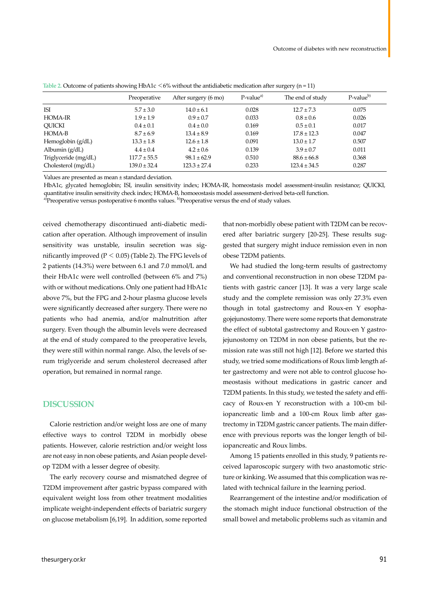|                      | Preoperative     | After surgery (6 mo) | $P-valuea$ | The end of study | P-value <sup>b)</sup> |
|----------------------|------------------|----------------------|------------|------------------|-----------------------|
| ISI                  | $5.7 \pm 3.0$    | $14.0 \pm 6.1$       | 0.028      | $12.7 \pm 7.3$   | 0.075                 |
| <b>HOMA-IR</b>       | $1.9 \pm 1.9$    | $0.9 \pm 0.7$        | 0.033      | $0.8 \pm 0.6$    | 0.026                 |
| <b>OUICKI</b>        | $0.4 \pm 0.1$    | $0.4 \pm 0.0$        | 0.169      | $0.5 \pm 0.1$    | 0.017                 |
| HOMA-B               | $8.7 \pm 6.9$    | $13.4 \pm 8.9$       | 0.169      | $17.8 \pm 12.3$  | 0.047                 |
| Hemoglobin $(g/dL)$  | $13.3 \pm 1.8$   | $12.6 \pm 1.8$       | 0.091      | $13.0 \pm 1.7$   | 0.507                 |
| Albumin $(g/dL)$     | $4.4 \pm 0.4$    | $4.2 \pm 0.6$        | 0.139      | $3.9 \pm 0.7$    | 0.011                 |
| Triglyceride (mg/dL) | $117.7 \pm 55.5$ | $98.1 \pm 62.9$      | 0.510      | $88.6 \pm 66.8$  | 0.368                 |
| Cholesterol (mg/dL)  | $139.0 \pm 32.4$ | $123.3 \pm 27.4$     | 0.233      | $123.4 \pm 34.5$ | 0.287                 |

**Table 2.** Outcome of patients showing HbA1c <6% without the antidiabetic medication after surgery (n = 11)

Values are presented as mean ± standard deviation.

HbA1c, glycated hemoglobin; ISI, insulin sensitivity index; HOMA-IR, homeostasis model assessment-insulin resistance; QUICKI, quantitative insulin sensitivity check index; HOMA-B, homoeostasis model assessment-derived beta-cell function.

<sup>a)</sup>Preoperative versus postoperative 6 months values. <sup>b)</sup>Preoperative versus the end of study values.

ceived chemotherapy discontinued anti-diabetic medication after operation. Although improvement of insulin sensitivity was unstable, insulin secretion was significantly improved ( $P < 0.05$ ) (Table 2). The FPG levels of 2 patients (14.3%) were between 6.1 and 7.0 mmol/L and their HbA1c were well controlled (between 6% and 7%) with or without medications. Only one patient had HbA1c above 7%, but the FPG and 2-hour plasma glucose levels were significantly decreased after surgery. There were no patients who had anemia, and/or malnutrition after surgery. Even though the albumin levels were decreased at the end of study compared to the preoperative levels, they were still within normal range. Also, the levels of serum triglyceride and serum cholesterol decreased after operation, but remained in normal range.

## **DISCUSSION**

Calorie restriction and/or weight loss are one of many effective ways to control T2DM in morbidly obese patients. However, calorie restriction and/or weight loss are not easy in non obese patients, and Asian people develop T2DM with a lesser degree of obesity.

The early recovery course and mismatched degree of T2DM improvement after gastric bypass compared with equivalent weight loss from other treatment modalities implicate weight-independent effects of bariatric surgery on glucose metabolism [6,19]. In addition, some reported

that non-morbidly obese patient with T2DM can be recovered after bariatric surgery [20-25]. These results suggested that surgery might induce remission even in non obese T2DM patients.

We had studied the long-term results of gastrectomy and conventional reconstruction in non obese T2DM patients with gastric cancer [13]. It was a very large scale study and the complete remission was only 27.3% even though in total gastrectomy and Roux-en Y esophagojejunostomy. There were some reports that demonstrate the effect of subtotal gastrectomy and Roux-en Y gastrojejunostomy on T2DM in non obese patients, but the remission rate was still not high [12]. Before we started this study, we tried some modifications of Roux limb length after gastrectomy and were not able to control glucose homeostasis without medications in gastric cancer and T2DM patients. In this study, we tested the safety and efficacy of Roux-en Y reconstruction with a 100-cm biliopancreatic limb and a 100-cm Roux limb after gastrectomy in T2DM gastric cancer patients. The main difference with previous reports was the longer length of biliopancreatic and Roux limbs.

Among 15 patients enrolled in this study, 9 patients received laparoscopic surgery with two anastomotic stricture or kinking. We assumed that this complication was related with technical failure in the learning period.

Rearrangement of the intestine and/or modification of the stomach might induce functional obstruction of the small bowel and metabolic problems such as vitamin and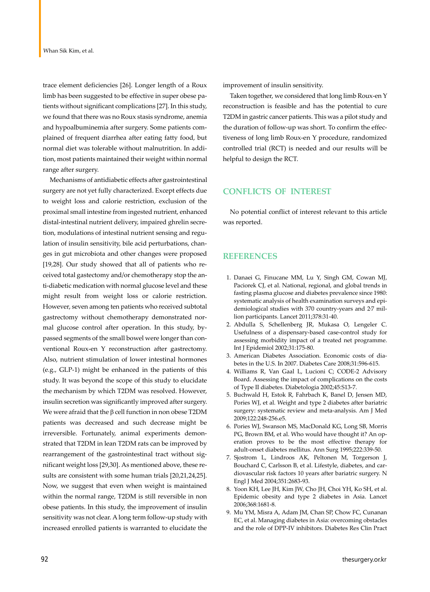trace element deficiencies [26]. Longer length of a Roux limb has been suggested to be effective in super obese patients without significant complications [27]. In this study, we found that there was no Roux stasis syndrome, anemia and hypoalbuminemia after surgery. Some patients complained of frequent diarrhea after eating fatty food, but normal diet was tolerable without malnutrition. In addition, most patients maintained their weight within normal range after surgery.

Mechanisms of antidiabetic effects after gastrointestinal surgery are not yet fully characterized. Except effects due to weight loss and calorie restriction, exclusion of the proximal small intestine from ingested nutrient, enhanced distal-intestinal nutrient delivery, impaired ghrelin secretion, modulations of intestinal nutrient sensing and regulation of insulin sensitivity, bile acid perturbations, changes in gut microbiota and other changes were proposed [19,28]. Our study showed that all of patients who received total gastectomy and/or chemotherapy stop the anti-diabetic medication with normal glucose level and these might result from weight loss or calorie restriction. However, seven among ten patients who received subtotal gastrectomy without chemotherapy demonstrated normal glucose control after operation. In this study, bypassed segments of the small bowel were longer than conventional Roux-en Y reconstruction after gastrectomy. Also, nutrient stimulation of lower intestinal hormones (e.g., GLP-1) might be enhanced in the patients of this study. It was beyond the scope of this study to elucidate the mechanism by which T2DM was resolved. However, insulin secretion was significantly improved after surgery. We were afraid that the β cell function in non obese T2DM patients was decreased and such decrease might be irreversible. Fortunately, animal experiments demonstrated that T2DM in lean T2DM rats can be improved by rearrangement of the gastrointestinal tract without significant weight loss [29,30]. As mentioned above, these results are consistent with some human trials [20,21,24,25]. Now, we suggest that even when weight is maintained within the normal range, T2DM is still reversible in non obese patients. In this study, the improvement of insulin sensitivity was not clear. A long term follow-up study with increased enrolled patients is warranted to elucidate the

improvement of insulin sensitivity.

Taken together, we considered that long limb Roux-en Y reconstruction is feasible and has the potential to cure T2DM in gastric cancer patients. This was a pilot study and the duration of follow-up was short. To confirm the effectiveness of long limb Roux-en Y procedure, randomized controlled trial (RCT) is needed and our results will be helpful to design the RCT.

## **CONFLICTS OF INTEREST**

No potential conflict of interest relevant to this article was reported.

## **REFERENCES**

- 1. Danaei G, Finucane MM, Lu Y, Singh GM, Cowan MJ, Paciorek CJ, et al. National, regional, and global trends in fasting plasma glucose and diabetes prevalence since 1980: systematic analysis of health examination surveys and epidemiological studies with 370 country-years and 2․7 million participants. Lancet 2011;378:31-40.
- 2. Abdulla S, Schellenberg JR, Mukasa O, Lengeler C. Usefulness of a dispensary-based case-control study for assessing morbidity impact of a treated net programme. Int J Epidemiol 2002;31:175-80.
- 3. American Diabetes Association. Economic costs of diabetes in the U.S. In 2007. Diabetes Care 2008;31:596-615.
- 4. Williams R, Van Gaal L, Lucioni C; CODE-2 Advisory Board. Assessing the impact of complications on the costs of Type II diabetes. Diabetologia 2002;45:S13-7.
- 5. Buchwald H, Estok R, Fahrbach K, Banel D, Jensen MD, Pories WJ, et al. Weight and type 2 diabetes after bariatric surgery: systematic review and meta-analysis. Am J Med 2009;122:248-256.e5.
- 6. Pories WJ, Swanson MS, MacDonald KG, Long SB, Morris PG, Brown BM, et al. Who would have thought it? An operation proves to be the most effective therapy for adult-onset diabetes mellitus. Ann Surg 1995;222:339-50.
- 7. Sjostrom L, Lindroos AK, Peltonen M, Torgerson J, Bouchard C, Carlsson B, et al. Lifestyle, diabetes, and cardiovascular risk factors 10 years after bariatric surgery. N Engl J Med 2004;351:2683-93.
- 8. Yoon KH, Lee JH, Kim JW, Cho JH, Choi YH, Ko SH, et al. Epidemic obesity and type 2 diabetes in Asia. Lancet 2006;368:1681-8.
- 9. Mu YM, Misra A, Adam JM, Chan SP, Chow FC, Cunanan EC, et al. Managing diabetes in Asia: overcoming obstacles and the role of DPP-IV inhibitors. Diabetes Res Clin Pract